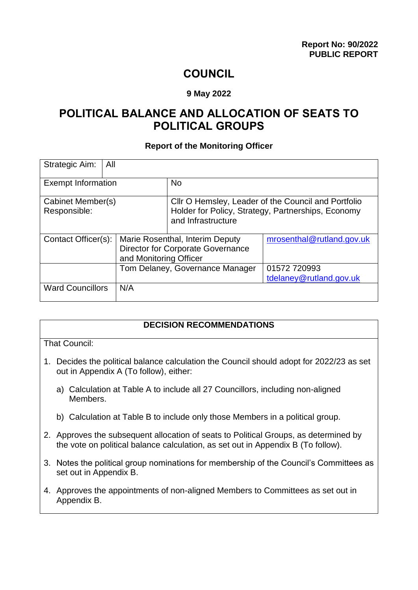# **COUNCIL**

#### **9 May 2022**

# **POLITICAL BALANCE AND ALLOCATION OF SEATS TO POLITICAL GROUPS**

#### **Report of the Monitoring Officer**

| Strategic Aim:                    | All                    |                                                                                                                                 |                                         |
|-----------------------------------|------------------------|---------------------------------------------------------------------------------------------------------------------------------|-----------------------------------------|
| <b>Exempt Information</b>         |                        | <b>No</b>                                                                                                                       |                                         |
| Cabinet Member(s)<br>Responsible: |                        | Cllr O Hemsley, Leader of the Council and Portfolio<br>Holder for Policy, Strategy, Partnerships, Economy<br>and Infrastructure |                                         |
| Contact Officer(s):               | and Monitoring Officer | Marie Rosenthal, Interim Deputy<br><b>Director for Corporate Governance</b>                                                     | mrosenthal@rutland.gov.uk               |
|                                   |                        | Tom Delaney, Governance Manager                                                                                                 | 01572 720993<br>tdelaney@rutland.gov.uk |
| <b>Ward Councillors</b>           | N/A                    |                                                                                                                                 |                                         |

#### **DECISION RECOMMENDATIONS**

That Council:

- 1. Decides the political balance calculation the Council should adopt for 2022/23 as set out in Appendix A (To follow), either:
	- a) Calculation at Table A to include all 27 Councillors, including non-aligned Members.
	- b) Calculation at Table B to include only those Members in a political group.
- 2. Approves the subsequent allocation of seats to Political Groups, as determined by the vote on political balance calculation, as set out in Appendix B (To follow).
- 3. Notes the political group nominations for membership of the Council's Committees as set out in Appendix B.
- 4. Approves the appointments of non-aligned Members to Committees as set out in Appendix B.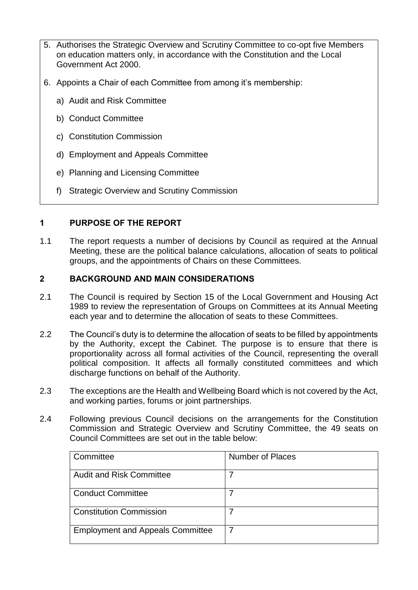- 5. Authorises the Strategic Overview and Scrutiny Committee to co-opt five Members on education matters only, in accordance with the Constitution and the Local Government Act 2000.
- 6. Appoints a Chair of each Committee from among it's membership:
	- a) Audit and Risk Committee
	- b) Conduct Committee
	- c) Constitution Commission
	- d) Employment and Appeals Committee
	- e) Planning and Licensing Committee
	- f) Strategic Overview and Scrutiny Commission

### **1 PURPOSE OF THE REPORT**

1.1 The report requests a number of decisions by Council as required at the Annual Meeting, these are the political balance calculations, allocation of seats to political groups, and the appointments of Chairs on these Committees.

# **2 BACKGROUND AND MAIN CONSIDERATIONS**

- 2.1 The Council is required by Section 15 of the Local Government and Housing Act 1989 to review the representation of Groups on Committees at its Annual Meeting each year and to determine the allocation of seats to these Committees.
- 2.2 The Council's duty is to determine the allocation of seats to be filled by appointments by the Authority, except the Cabinet. The purpose is to ensure that there is proportionality across all formal activities of the Council, representing the overall political composition. It affects all formally constituted committees and which discharge functions on behalf of the Authority.
- 2.3 The exceptions are the Health and Wellbeing Board which is not covered by the Act, and working parties, forums or joint partnerships.
- 2.4 Following previous Council decisions on the arrangements for the Constitution Commission and Strategic Overview and Scrutiny Committee, the 49 seats on Council Committees are set out in the table below:

| Committee                               | Number of Places |
|-----------------------------------------|------------------|
| <b>Audit and Risk Committee</b>         |                  |
| <b>Conduct Committee</b>                |                  |
| <b>Constitution Commission</b>          |                  |
| <b>Employment and Appeals Committee</b> |                  |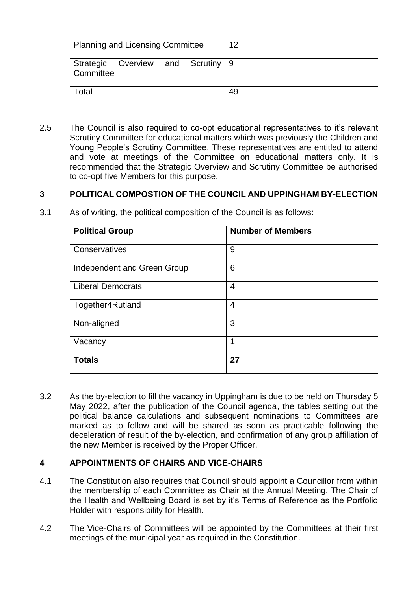| <b>Planning and Licensing Committee</b>        | 12 |
|------------------------------------------------|----|
| Strategic Overview and Scrutiny 9<br>Committee |    |
| Total                                          | 49 |

2.5 The Council is also required to co-opt educational representatives to it's relevant Scrutiny Committee for educational matters which was previously the Children and Young People's Scrutiny Committee. These representatives are entitled to attend and vote at meetings of the Committee on educational matters only. It is recommended that the Strategic Overview and Scrutiny Committee be authorised to co-opt five Members for this purpose.

#### **3 POLITICAL COMPOSTION OF THE COUNCIL AND UPPINGHAM BY-ELECTION**

| <b>Political Group</b>      | <b>Number of Members</b> |
|-----------------------------|--------------------------|
| Conservatives               | 9                        |
| Independent and Green Group | 6                        |
| <b>Liberal Democrats</b>    | 4                        |
| Together4Rutland            | 4                        |
| Non-aligned                 | 3                        |
| Vacancy                     | 1                        |
| <b>Totals</b>               | 27                       |

3.1 As of writing, the political composition of the Council is as follows:

3.2 As the by-election to fill the vacancy in Uppingham is due to be held on Thursday 5 May 2022, after the publication of the Council agenda, the tables setting out the political balance calculations and subsequent nominations to Committees are marked as to follow and will be shared as soon as practicable following the deceleration of result of the by-election, and confirmation of any group affiliation of the new Member is received by the Proper Officer.

### **4 APPOINTMENTS OF CHAIRS AND VICE-CHAIRS**

- 4.1 The Constitution also requires that Council should appoint a Councillor from within the membership of each Committee as Chair at the Annual Meeting. The Chair of the Health and Wellbeing Board is set by it's Terms of Reference as the Portfolio Holder with responsibility for Health.
- 4.2 The Vice-Chairs of Committees will be appointed by the Committees at their first meetings of the municipal year as required in the Constitution.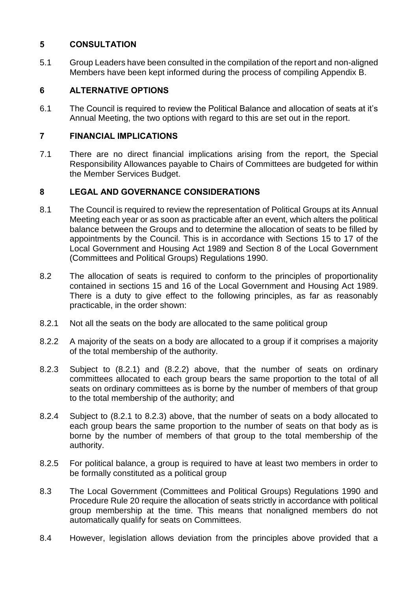# **5 CONSULTATION**

5.1 Group Leaders have been consulted in the compilation of the report and non-aligned Members have been kept informed during the process of compiling Appendix B.

## **6 ALTERNATIVE OPTIONS**

6.1 The Council is required to review the Political Balance and allocation of seats at it's Annual Meeting, the two options with regard to this are set out in the report.

### **7 FINANCIAL IMPLICATIONS**

7.1 There are no direct financial implications arising from the report, the Special Responsibility Allowances payable to Chairs of Committees are budgeted for within the Member Services Budget.

# **8 LEGAL AND GOVERNANCE CONSIDERATIONS**

- 8.1 The Council is required to review the representation of Political Groups at its Annual Meeting each year or as soon as practicable after an event, which alters the political balance between the Groups and to determine the allocation of seats to be filled by appointments by the Council. This is in accordance with Sections 15 to 17 of the Local Government and Housing Act 1989 and Section 8 of the Local Government (Committees and Political Groups) Regulations 1990.
- 8.2 The allocation of seats is required to conform to the principles of proportionality contained in sections 15 and 16 of the Local Government and Housing Act 1989. There is a duty to give effect to the following principles, as far as reasonably practicable, in the order shown:
- 8.2.1 Not all the seats on the body are allocated to the same political group
- 8.2.2 A majority of the seats on a body are allocated to a group if it comprises a majority of the total membership of the authority.
- 8.2.3 Subject to (8.2.1) and (8.2.2) above, that the number of seats on ordinary committees allocated to each group bears the same proportion to the total of all seats on ordinary committees as is borne by the number of members of that group to the total membership of the authority; and
- 8.2.4 Subject to (8.2.1 to 8.2.3) above, that the number of seats on a body allocated to each group bears the same proportion to the number of seats on that body as is borne by the number of members of that group to the total membership of the authority.
- 8.2.5 For political balance, a group is required to have at least two members in order to be formally constituted as a political group
- 8.3 The Local Government (Committees and Political Groups) Regulations 1990 and Procedure Rule 20 require the allocation of seats strictly in accordance with political group membership at the time. This means that nonaligned members do not automatically qualify for seats on Committees.
- 8.4 However, legislation allows deviation from the principles above provided that a